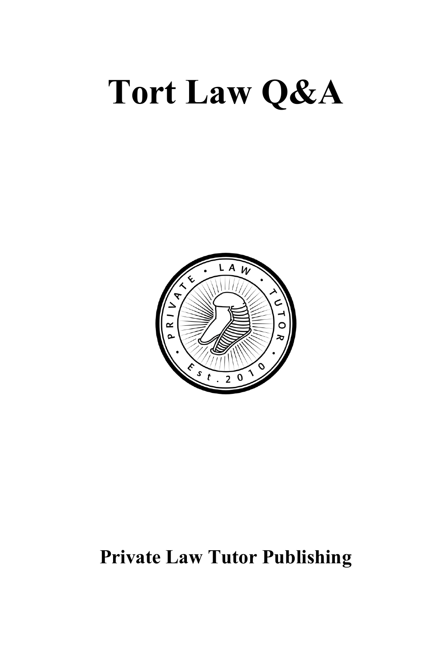# **Tort Law Q&A**



# **Private Law Tutor Publishing**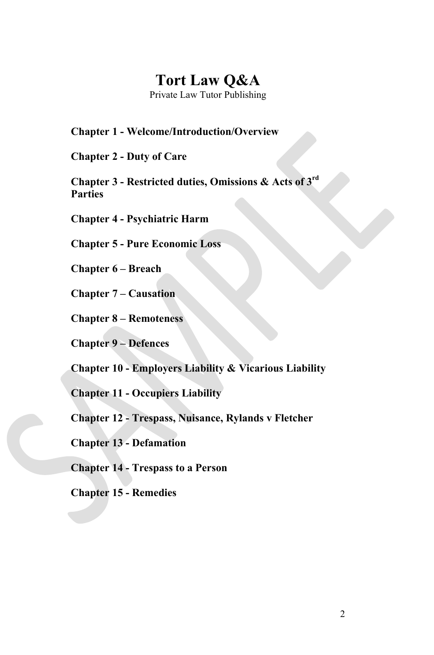# **Tort Law Q&A**

Private Law Tutor Publishing

**Chapter 1 - Welcome/Introduction/Overview**

**Chapter 2 - Duty of Care**

**Chapter 3 - Restricted duties, Omissions & Acts of 3rd Parties**

**Chapter 4 - Psychiatric Harm**

**Chapter 5 - Pure Economic Loss**

**Chapter 6 – Breach**

**Chapter 7 – Causation**

**Chapter 8 – Remoteness**

**Chapter 9 – Defences**

**Chapter 10 - Employers Liability & Vicarious Liability**

**Chapter 11 - Occupiers Liability**

**Chapter 12 - Trespass, Nuisance, Rylands v Fletcher**

**Chapter 13 - Defamation**

**Chapter 14 - Trespass to a Person**

**Chapter 15 - Remedies**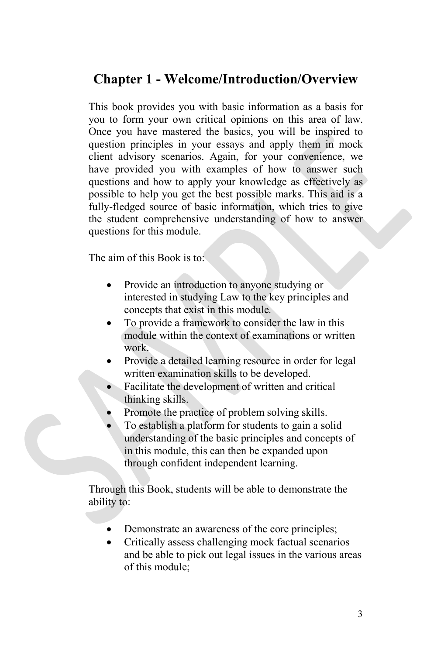# **Chapter 1 - Welcome/Introduction/Overview**

This book provides you with basic information as a basis for you to form your own critical opinions on this area of law. Once you have mastered the basics, you will be inspired to question principles in your essays and apply them in mock client advisory scenarios. Again, for your convenience, we have provided you with examples of how to answer such questions and how to apply your knowledge as effectively as possible to help you get the best possible marks. This aid is a fully-fledged source of basic information, which tries to give the student comprehensive understanding of how to answer questions for this module.

The aim of this Book is to:

- Provide an introduction to anyone studying or interested in studying Law to the key principles and concepts that exist in this module*.*
- To provide a framework to consider the law in this module within the context of examinations or written work.
- Provide a detailed learning resource in order for legal written examination skills to be developed.
- Facilitate the development of written and critical thinking skills.
- Promote the practice of problem solving skills.
- To establish a platform for students to gain a solid understanding of the basic principles and concepts of in this module, this can then be expanded upon through confident independent learning.

Through this Book, students will be able to demonstrate the ability to:

- Demonstrate an awareness of the core principles;
- Critically assess challenging mock factual scenarios and be able to pick out legal issues in the various areas of this module;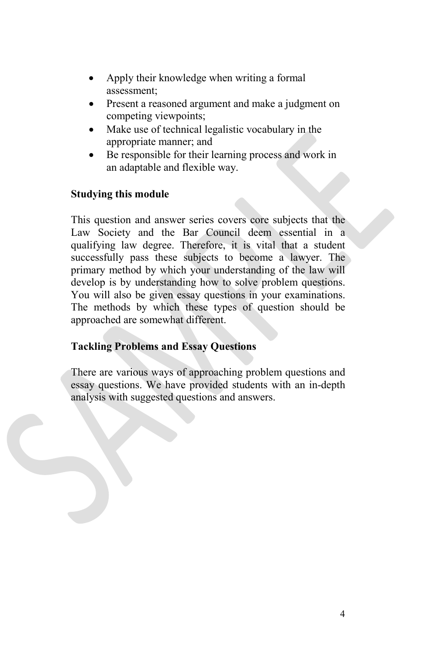- Apply their knowledge when writing a formal assessment;
- Present a reasoned argument and make a judgment on competing viewpoints;
- Make use of technical legalistic vocabulary in the appropriate manner; and
- Be responsible for their learning process and work in an adaptable and flexible way.

#### **Studying this module**

This question and answer series covers core subjects that the Law Society and the Bar Council deem essential in a qualifying law degree. Therefore, it is vital that a student successfully pass these subjects to become a lawyer. The primary method by which your understanding of the law will develop is by understanding how to solve problem questions. You will also be given essay questions in your examinations. The methods by which these types of question should be approached are somewhat different.

#### **Tackling Problems and Essay Questions**

There are various ways of approaching problem questions and essay questions. We have provided students with an in-depth analysis with suggested questions and answers.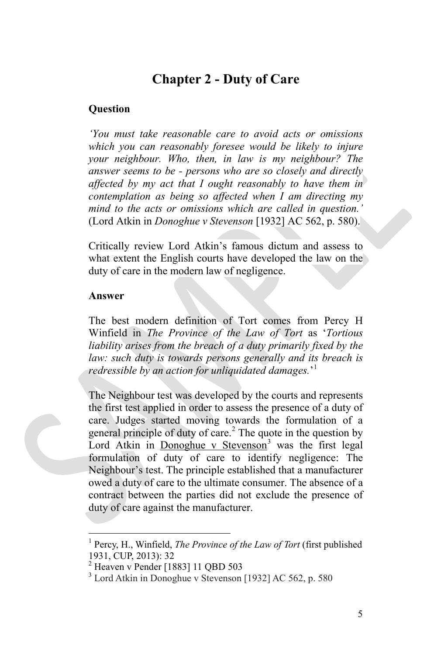## **Chapter 2 - Duty of Care**

#### **Question**

*'You must take reasonable care to avoid acts or omissions which you can reasonably foresee would be likely to injure your neighbour. Who, then, in law is my neighbour? The answer seems to be - persons who are so closely and directly affected by my act that I ought reasonably to have them in contemplation as being so affected when I am directing my mind to the acts or omissions which are called in question.'* (Lord Atkin in *Donoghue v Stevenson* [1932] AC 562, p. 580).

Critically review Lord Atkin's famous dictum and assess to what extent the English courts have developed the law on the duty of care in the modern law of negligence.

#### **Answer**

The best modern definition of Tort comes from Percy H Winfield in *The Province of the Law of Tort* as '*Tortious liability arises from the breach of a duty primarily fixed by the*  law: such duty is towards persons generally and its breach is *redressible by an action for unliquidated damages.*' [1](#page-4-0)

The Neighbour test was developed by the courts and represents the first test applied in order to assess the presence of a duty of care. Judges started moving towards the formulation of a general principle of duty of care.<sup>[2](#page-4-1)</sup> The quote in the question by Lord Atkin in Donoghue v Stevenson<sup>[3](#page-4-2)</sup> was the first legal formulation of duty of care to identify negligence: The Neighbour's test. The principle established that a manufacturer owed a duty of care to the ultimate consumer. The absence of a contract between the parties did not exclude the presence of duty of care against the manufacturer.

<span id="page-4-0"></span><sup>1</sup> Percy, H., Winfield, *The Province of the Law of Tort* (first published 1931, CUP, 2013): 32

<span id="page-4-1"></span> $2$  Heaven v Pender [1883] 11 OBD 503

<span id="page-4-2"></span><sup>3</sup> Lord Atkin in Donoghue v Stevenson [1932] AC 562, p. 580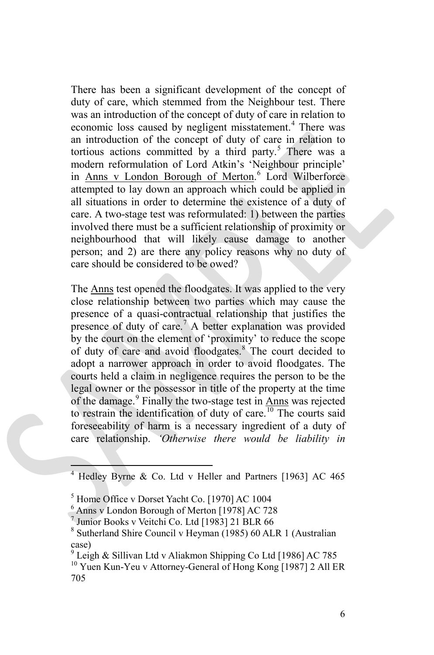There has been a significant development of the concept of duty of care, which stemmed from the Neighbour test. There was an introduction of the concept of duty of care in relation to economic loss caused by negligent misstatement.<sup>[4](#page-5-0)</sup> There was an introduction of the concept of duty of care in relation to tortious actions committed by a third party.<sup>[5](#page-5-1)</sup> There was a modern reformulation of Lord Atkin's 'Neighbour principle' in Anns v London Borough of Merton.<sup>[6](#page-5-2)</sup> Lord Wilberforce attempted to lay down an approach which could be applied in all situations in order to determine the existence of a duty of care. A two-stage test was reformulated: 1) between the parties involved there must be a sufficient relationship of proximity or neighbourhood that will likely cause damage to another person; and 2) are there any policy reasons why no duty of care should be considered to be owed?

The Anns test opened the floodgates. It was applied to the very close relationship between two parties which may cause the presence of a quasi-contractual relationship that justifies the presence of duty of care.<sup>[7](#page-5-3)</sup> A better explanation was provided by the court on the element of 'proximity' to reduce the scope of duty of care and avoid floodgates.[8](#page-5-4) The court decided to adopt a narrower approach in order to avoid floodgates. The courts held a claim in negligence requires the person to be the legal owner or the possessor in title of the property at the time of the damage.<sup>[9](#page-5-5)</sup> Finally the two-stage test in Anns was rejected to restrain the identification of duty of care.<sup>[10](#page-5-6)</sup> The courts said foreseeability of harm is a necessary ingredient of a duty of care relationship. *'Otherwise there would be liability in* 

<span id="page-5-5"></span><sup>9</sup> Leigh & Sillivan Ltd v Aliakmon Shipping Co Ltd [1986] AC 785

<span id="page-5-0"></span>Hedley Byrne & Co. Ltd v Heller and Partners [1963] AC 465

<span id="page-5-1"></span> $<sup>5</sup>$  Home Office v Dorset Yacht Co. [1970] AC 1004</sup>

<span id="page-5-2"></span> $^6$  Anns v London Borough of Merton [1978] AC 728<br><sup>7</sup> Junior Books v Veitchi Co. Ltd [1983] 21 BLR 66

<span id="page-5-3"></span>

<span id="page-5-4"></span> $8$  Sutherland Shire Council v Heyman (1985) 60 ALR 1 (Australian case)

<span id="page-5-6"></span><sup>&</sup>lt;sup>10</sup> Yuen Kun-Yeu v Attorney-General of Hong Kong [1987] 2 All ER 705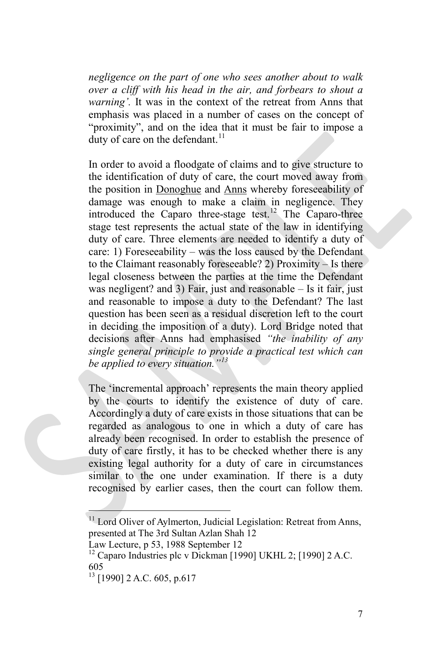*negligence on the part of one who sees another about to walk over a cliff with his head in the air, and forbears to shout a warning'.* It was in the context of the retreat from Anns that emphasis was placed in a number of cases on the concept of "proximity", and on the idea that it must be fair to impose a duty of care on the defendant.<sup>[11](#page-6-0)</sup>

In order to avoid a floodgate of claims and to give structure to the identification of duty of care, the court moved away from the position in Donoghue and Anns whereby foreseeability of damage was enough to make a claim in negligence. They introduced the Caparo three-stage test.<sup>[12](#page-6-1)</sup> The Caparo-three stage test represents the actual state of the law in identifying duty of care. Three elements are needed to identify a duty of care: 1) Foreseeability – was the loss caused by the Defendant to the Claimant reasonably foreseeable? 2) Proximity – Is there legal closeness between the parties at the time the Defendant was negligent? and 3) Fair, just and reasonable – Is it fair, just and reasonable to impose a duty to the Defendant? The last question has been seen as a residual discretion left to the court in deciding the imposition of a duty). Lord Bridge noted that decisions after Anns had emphasised *"the inability of any single general principle to provide a practical test which can be applied to every situation."[13](#page-6-2)*

The 'incremental approach' represents the main theory applied by the courts to identify the existence of duty of care. Accordingly a duty of care exists in those situations that can be regarded as analogous to one in which a duty of care has already been recognised. In order to establish the presence of duty of care firstly, it has to be checked whether there is any existing legal authority for a duty of care in circumstances similar to the one under examination. If there is a duty recognised by earlier cases, then the court can follow them.

<span id="page-6-0"></span><sup>&</sup>lt;sup>11</sup> Lord Oliver of Aylmerton, Judicial Legislation: Retreat from Anns, presented at The 3rd Sultan Azlan Shah 12

Law Lecture, p 53, 1988 September 12

<span id="page-6-1"></span> $12$  Caparo Industries plc v Dickman [1990] UKHL 2; [1990] 2 A.C. 605

<span id="page-6-2"></span> $13$  [1990] 2 A.C. 605, p.617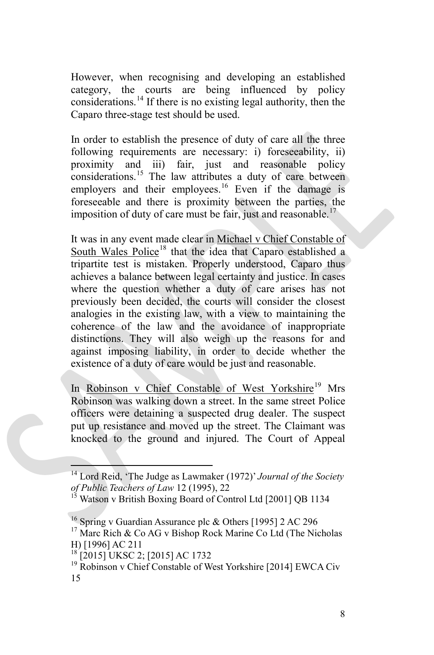However, when recognising and developing an established category, the courts are being influenced by policy considerations.[14](#page-7-0) If there is no existing legal authority, then the Caparo three-stage test should be used.

In order to establish the presence of duty of care all the three following requirements are necessary: i) foreseeability, ii) proximity and iii) fair, just and reasonable policy considerations.<sup>[15](#page-7-1)</sup> The law attributes a duty of care between employers and their employees.<sup>[16](#page-7-2)</sup> Even if the damage is foreseeable and there is proximity between the parties, the imposition of duty of care must be fair, just and reasonable.<sup>[17](#page-7-3)</sup>

It was in any event made clear in Michael v Chief Constable of South Wales Police<sup>[18](#page-7-4)</sup> that the idea that Caparo established a tripartite test is mistaken. Properly understood, Caparo thus achieves a balance between legal certainty and justice. In cases where the question whether a duty of care arises has not previously been decided, the courts will consider the closest analogies in the existing law, with a view to maintaining the coherence of the law and the avoidance of inappropriate distinctions. They will also weigh up the reasons for and against imposing liability, in order to decide whether the existence of a duty of care would be just and reasonable.

In Robinson v Chief Constable of West Yorkshire<sup>[19](#page-7-5)</sup> Mrs Robinson was walking down a street. In the same street Police officers were detaining a suspected drug dealer. The suspect put up resistance and moved up the street. The Claimant was knocked to the ground and injured. The Court of Appeal

<span id="page-7-0"></span><sup>14</sup> Lord Reid, 'The Judge as Lawmaker (1972)' *Journal of the Society of Public Teachers of Law* 12 (1995), 22<br><sup>15</sup> Watson v British Boxing Board of Control Ltd [2001] OB 1134

<span id="page-7-1"></span>

<span id="page-7-2"></span><sup>&</sup>lt;sup>16</sup> Spring v Guardian Assurance plc & Others [1995] 2 AC 296<br><sup>17</sup> Marc Rich & Co AG v Bishop Rock Marine Co Ltd (The Nicholas

<span id="page-7-3"></span>H) [1996] AC 211<br><sup>18</sup> [2015] UKSC 2; [2015] AC 1732

<span id="page-7-5"></span><span id="page-7-4"></span> $19$  Robinson v Chief Constable of West Yorkshire [2014] EWCA Civ 15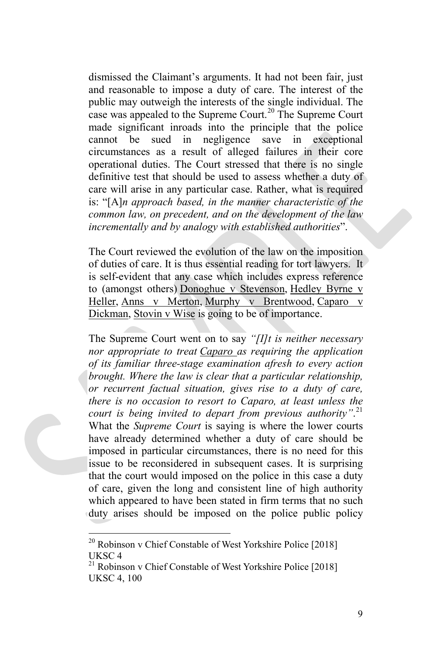dismissed the Claimant's arguments. It had not been fair, just and reasonable to impose a duty of care. The interest of the public may outweigh the interests of the single individual. The case was appealed to the Supreme Court.<sup>[20](#page-8-0)</sup> The Supreme Court made significant inroads into the principle that the police cannot be sued in negligence save in exceptional circumstances as a result of alleged failures in their core operational duties. The Court stressed that there is no single definitive test that should be used to assess whether a duty of care will arise in any particular case. Rather, what is required is: "[A]*n approach based, in the manner characteristic of the common law, on precedent, and on the development of the law incrementally and by analogy with established authorities*".

The Court reviewed the evolution of the law on the imposition of duties of care. It is thus essential reading for tort lawyers. It is self-evident that any case which includes express reference to (amongst others) Donoghue v [Stevenson,](http://www.bailii.org/uk/cases/UKHL/1932/100.html) [Hedley](http://www.bailii.org/uk/cases/UKHL/1963/4.html) Byrne v [Heller,](http://www.bailii.org/uk/cases/UKHL/1963/4.html) Anns v [Merton,](http://www.bailii.org/uk/cases/UKHL/1977/4.html) Murphy v [Brentwood,](http://www.bailii.org/uk/cases/UKHL/1991/2.html) [Caparo](http://www.bailii.org/uk/cases/UKHL/1990/2.html) v [Dickman,](http://www.bailii.org/uk/cases/UKHL/1990/2.html) [Stovin](http://www.bailii.org/uk/cases/UKHL/1996/15.html) v Wise is going to be of importance.

The Supreme Court went on to say *"[I]t is neither necessary nor appropriate to treat Caparo as requiring the application of its familiar three-stage examination afresh to every action brought. Where the law is clear that a particular relationship, or recurrent factual situation, gives rise to a duty of care, there is no occasion to resort to Caparo, at least unless the court is being invited to depart from previous authority"*. [21](#page-8-1) What the *Supreme Court* is saying is where the lower courts have already determined whether a duty of care should be imposed in particular circumstances, there is no need for this issue to be reconsidered in subsequent cases. It is surprising that the court would imposed on the police in this case a duty of care, given the long and consistent line of high authority which appeared to have been stated in firm terms that no such duty arises should be imposed on the police public policy

<span id="page-8-0"></span><sup>20</sup> Robinson v Chief Constable of West Yorkshire Police [2018] UKSC 4

<span id="page-8-1"></span><sup>&</sup>lt;sup>21</sup> Robinson v Chief Constable of West Yorkshire Police [2018] UKSC 4, 100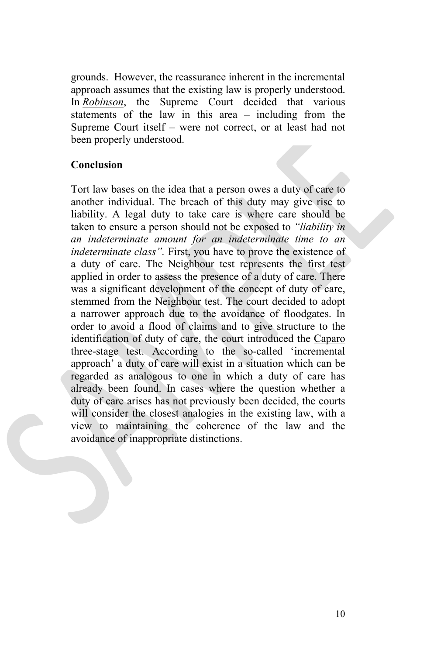grounds. However, the reassurance inherent in the incremental approach assumes that the existing law is properly understood. In *Robinson*, the Supreme Court decided that various statements of the law in this area – including from the Supreme Court itself – were not correct, or at least had not been properly understood.

#### **Conclusion**

Tort law bases on the idea that a person owes a duty of care to another individual. The breach of this duty may give rise to liability. A legal duty to take care is where care should be taken to ensure a person should not be exposed to *"liability in an indeterminate amount for an indeterminate time to an indeterminate class*". First, you have to prove the existence of a duty of care. The Neighbour test represents the first test applied in order to assess the presence of a duty of care. There was a significant development of the concept of duty of care, stemmed from the Neighbour test. The court decided to adopt a narrower approach due to the avoidance of floodgates. In order to avoid a flood of claims and to give structure to the identification of duty of care, the court introduced the Caparo three-stage test. According to the so-called 'incremental approach' a duty of care will exist in a situation which can be regarded as analogous to one in which a duty of care has already been found. In cases where the question whether a duty of care arises has not previously been decided, the courts will consider the closest analogies in the existing law, with a view to maintaining the coherence of the law and the avoidance of inappropriate distinctions.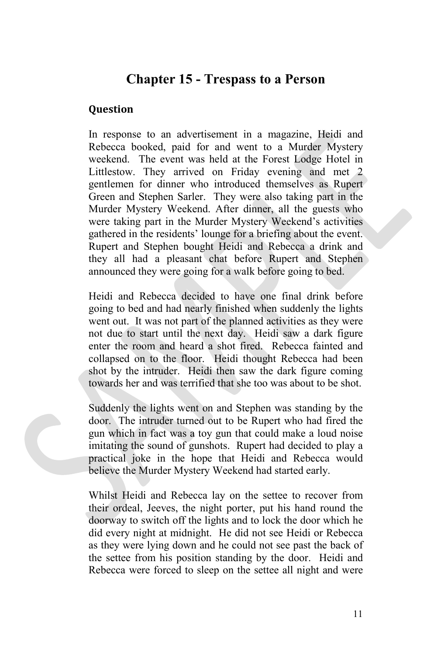## **Chapter 15 - Trespass to a Person**

#### **Question**

In response to an advertisement in a magazine, Heidi and Rebecca booked, paid for and went to a Murder Mystery weekend. The event was held at the Forest Lodge Hotel in Littlestow. They arrived on Friday evening and met 2 gentlemen for dinner who introduced themselves as Rupert Green and Stephen Sarler. They were also taking part in the Murder Mystery Weekend. After dinner, all the guests who were taking part in the Murder Mystery Weekend's activities gathered in the residents' lounge for a briefing about the event. Rupert and Stephen bought Heidi and Rebecca a drink and they all had a pleasant chat before Rupert and Stephen announced they were going for a walk before going to bed.

Heidi and Rebecca decided to have one final drink before going to bed and had nearly finished when suddenly the lights went out. It was not part of the planned activities as they were not due to start until the next day. Heidi saw a dark figure enter the room and heard a shot fired. Rebecca fainted and collapsed on to the floor. Heidi thought Rebecca had been shot by the intruder. Heidi then saw the dark figure coming towards her and was terrified that she too was about to be shot.

Suddenly the lights went on and Stephen was standing by the door. The intruder turned out to be Rupert who had fired the gun which in fact was a toy gun that could make a loud noise imitating the sound of gunshots. Rupert had decided to play a practical joke in the hope that Heidi and Rebecca would believe the Murder Mystery Weekend had started early.

Whilst Heidi and Rebecca lay on the settee to recover from their ordeal, Jeeves, the night porter, put his hand round the doorway to switch off the lights and to lock the door which he did every night at midnight. He did not see Heidi or Rebecca as they were lying down and he could not see past the back of the settee from his position standing by the door. Heidi and Rebecca were forced to sleep on the settee all night and were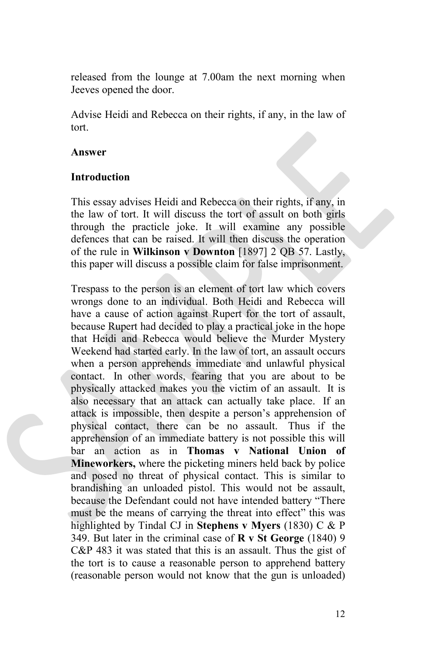released from the lounge at 7.00am the next morning when Jeeves opened the door.

Advise Heidi and Rebecca on their rights, if any, in the law of tort.

#### **Answer**

#### **Introduction**

This essay advises Heidi and Rebecca on their rights, if any, in the law of tort. It will discuss the tort of assult on both girls through the practicle joke. It will examine any possible defences that can be raised. It will then discuss the operation of the rule in **Wilkinson v Downton** [1897] 2 QB 57. Lastly, this paper will discuss a possible claim for false imprisonment.

Trespass to the person is an element of tort law which covers wrongs done to an individual. Both Heidi and Rebecca will have a cause of action against Rupert for the tort of assault, because Rupert had decided to play a practical joke in the hope that Heidi and Rebecca would believe the Murder Mystery Weekend had started early. In the law of tort, an assault occurs when a person apprehends immediate and unlawful physical contact. In other words, fearing that you are about to be physically attacked makes you the victim of an assault. It is also necessary that an attack can actually take place. If an attack is impossible, then despite a person's apprehension of physical contact, there can be no assault. Thus if the apprehension of an immediate battery is not possible this will bar an action as in **Thomas v National Union of Mineworkers,** where the picketing miners held back by police and posed no threat of physical contact. This is similar to brandishing an unloaded pistol. This would not be assault, because the Defendant could not have intended battery "There must be the means of carrying the threat into effect" this was highlighted by Tindal CJ in **Stephens v Myers** (1830) C & P 349. But later in the criminal case of **R v St George** (1840) 9 C&P 483 it was stated that this is an assault. Thus the gist of the tort is to cause a reasonable person to apprehend battery (reasonable person would not know that the gun is unloaded)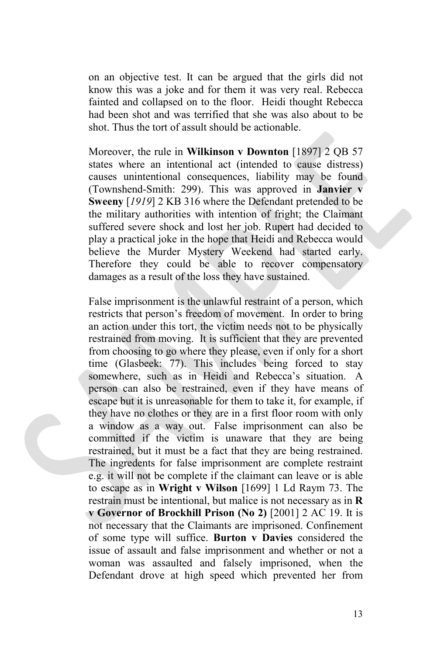on an objective test. It can be argued that the girls did not know this was a joke and for them it was very real. Rebecca fainted and collapsed on to the floor. Heidi thought Rebecca had been shot and was terrified that she was also about to be shot. Thus the tort of assult should be actionable.

Moreover, the rule in **Wilkinson v Downton** [1897] 2 QB 57 states where an intentional act (intended to cause distress) causes unintentional consequences, liability may be found (Townshend-Smith: 299). This was approved in **Janvier v Sweeny** [*1919*] 2 KB 316 where the Defendant pretended to be the military authorities with intention of fright; the Claimant suffered severe shock and lost her job. Rupert had decided to play a practical joke in the hope that Heidi and Rebecca would believe the Murder Mystery Weekend had started early. Therefore they could be able to recover compensatory damages as a result of the loss they have sustained.

False imprisonment is the unlawful restraint of a person, which restricts that person's freedom of movement. In order to bring an action under this tort, the victim needs not to be physically restrained from moving. It is sufficient that they are prevented from choosing to go where they please, even if only for a short time (Glasbeek: 77). This includes being forced to stay somewhere, such as in Heidi and Rebecca's situation. A person can also be restrained, even if they have means of escape but it is unreasonable for them to take it, for example, if they have no clothes or they are in a first floor room with only a window as a way out. False imprisonment can also be committed if the victim is unaware that they are being restrained, but it must be a fact that they are being restrained. The ingredents for false imprisonment are complete restraint e.g. it will not be complete if the claimant can leave or is able to escape as in **Wright v Wilson** [1699] 1 Ld Raym 73. The restrain must be intentional, but malice is not necessary as in **R v Governor of Brockhill Prison (No 2)** [2001] 2 AC 19. It is not necessary that the Claimants are imprisoned. Confinement of some type will suffice. **Burton v Davies** considered the issue of assault and false imprisonment and whether or not a woman was assaulted and falsely imprisoned, when the Defendant drove at high speed which prevented her from